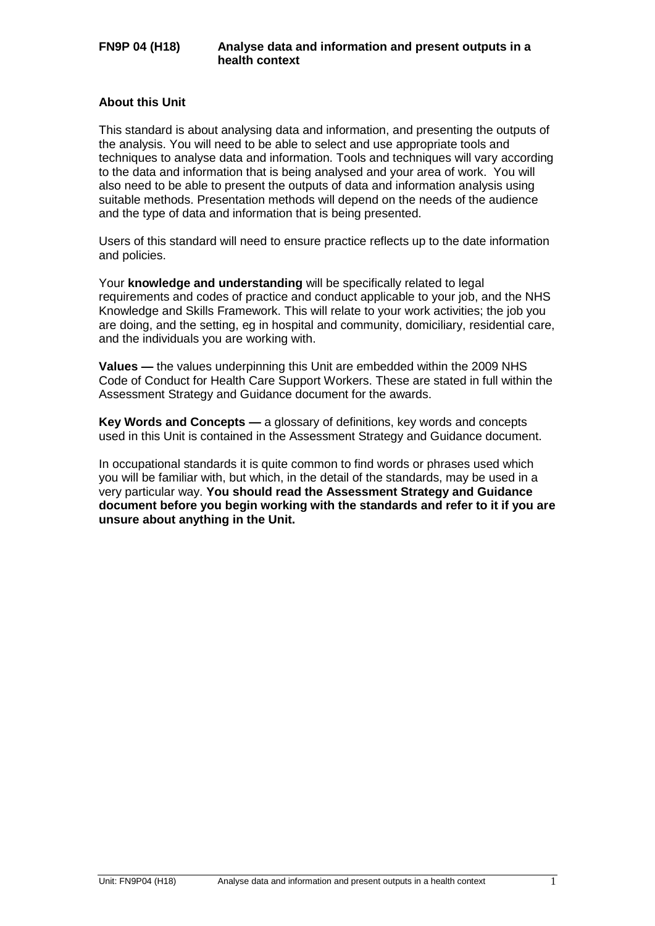### **About this Unit**

This standard is about analysing data and information, and presenting the outputs of the analysis. You will need to be able to select and use appropriate tools and techniques to analyse data and information. Tools and techniques will vary according to the data and information that is being analysed and your area of work. You will also need to be able to present the outputs of data and information analysis using suitable methods. Presentation methods will depend on the needs of the audience and the type of data and information that is being presented.

Users of this standard will need to ensure practice reflects up to the date information and policies.

Your **knowledge and understanding** will be specifically related to legal requirements and codes of practice and conduct applicable to your job, and the NHS Knowledge and Skills Framework. This will relate to your work activities; the job you are doing, and the setting, eg in hospital and community, domiciliary, residential care, and the individuals you are working with.

**Values —** the values underpinning this Unit are embedded within the 2009 NHS Code of Conduct for Health Care Support Workers. These are stated in full within the Assessment Strategy and Guidance document for the awards.

**Key Words and Concepts —** a glossary of definitions, key words and concepts used in this Unit is contained in the Assessment Strategy and Guidance document.

In occupational standards it is quite common to find words or phrases used which you will be familiar with, but which, in the detail of the standards, may be used in a very particular way. **You should read the Assessment Strategy and Guidance document before you begin working with the standards and refer to it if you are unsure about anything in the Unit.**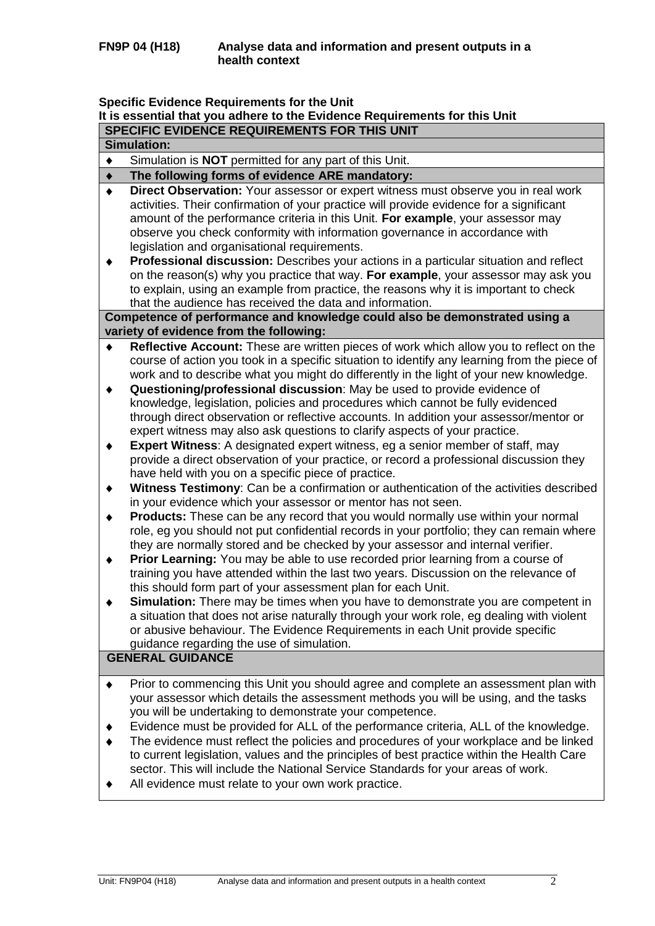# **Specific Evidence Requirements for the Unit**

|                 | Specific Evidence Requirements for the Unit<br>It is essential that you adhere to the Evidence Requirements for this Unit                                                                                                                                                                                                                                                                                             |
|-----------------|-----------------------------------------------------------------------------------------------------------------------------------------------------------------------------------------------------------------------------------------------------------------------------------------------------------------------------------------------------------------------------------------------------------------------|
|                 | SPECIFIC EVIDENCE REQUIREMENTS FOR THIS UNIT                                                                                                                                                                                                                                                                                                                                                                          |
|                 | <b>Simulation:</b>                                                                                                                                                                                                                                                                                                                                                                                                    |
| $\blacklozenge$ | Simulation is <b>NOT</b> permitted for any part of this Unit.                                                                                                                                                                                                                                                                                                                                                         |
| ٠               | The following forms of evidence ARE mandatory:                                                                                                                                                                                                                                                                                                                                                                        |
| $\bullet$       | Direct Observation: Your assessor or expert witness must observe you in real work<br>activities. Their confirmation of your practice will provide evidence for a significant<br>amount of the performance criteria in this Unit. For example, your assessor may                                                                                                                                                       |
|                 | observe you check conformity with information governance in accordance with<br>legislation and organisational requirements.<br>Professional discussion: Describes your actions in a particular situation and reflect                                                                                                                                                                                                  |
|                 | on the reason(s) why you practice that way. For example, your assessor may ask you<br>to explain, using an example from practice, the reasons why it is important to check<br>that the audience has received the data and information.                                                                                                                                                                                |
|                 | Competence of performance and knowledge could also be demonstrated using a                                                                                                                                                                                                                                                                                                                                            |
|                 | variety of evidence from the following:                                                                                                                                                                                                                                                                                                                                                                               |
| ٠               | Reflective Account: These are written pieces of work which allow you to reflect on the<br>course of action you took in a specific situation to identify any learning from the piece of<br>work and to describe what you might do differently in the light of your new knowledge.                                                                                                                                      |
| ٠               | Questioning/professional discussion: May be used to provide evidence of<br>knowledge, legislation, policies and procedures which cannot be fully evidenced<br>through direct observation or reflective accounts. In addition your assessor/mentor or<br>expert witness may also ask questions to clarify aspects of your practice.                                                                                    |
| ٠               | <b>Expert Witness:</b> A designated expert witness, eg a senior member of staff, may<br>provide a direct observation of your practice, or record a professional discussion they<br>have held with you on a specific piece of practice.                                                                                                                                                                                |
| ٠               | Witness Testimony: Can be a confirmation or authentication of the activities described<br>in your evidence which your assessor or mentor has not seen.                                                                                                                                                                                                                                                                |
| ٠               | <b>Products:</b> These can be any record that you would normally use within your normal<br>role, eg you should not put confidential records in your portfolio; they can remain where<br>they are normally stored and be checked by your assessor and internal verifier.                                                                                                                                               |
| ٠               | Prior Learning: You may be able to use recorded prior learning from a course of<br>training you have attended within the last two years. Discussion on the relevance of<br>this should form part of your assessment plan for each Unit.                                                                                                                                                                               |
|                 | <b>Simulation:</b> There may be times when you have to demonstrate you are competent in<br>a situation that does not arise naturally through your work role, eg dealing with violent<br>or abusive behaviour. The Evidence Requirements in each Unit provide specific<br>guidance regarding the use of simulation.                                                                                                    |
|                 | <b>GENERAL GUIDANCE</b>                                                                                                                                                                                                                                                                                                                                                                                               |
| ٠               | Prior to commencing this Unit you should agree and complete an assessment plan with<br>your assessor which details the assessment methods you will be using, and the tasks<br>you will be undertaking to demonstrate your competence.                                                                                                                                                                                 |
|                 | Evidence must be provided for ALL of the performance criteria, ALL of the knowledge.<br>The evidence must reflect the policies and procedures of your workplace and be linked<br>to current legislation, values and the principles of best practice within the Health Care<br>sector. This will include the National Service Standards for your areas of work.<br>All evidence must relate to your own work practice. |
|                 |                                                                                                                                                                                                                                                                                                                                                                                                                       |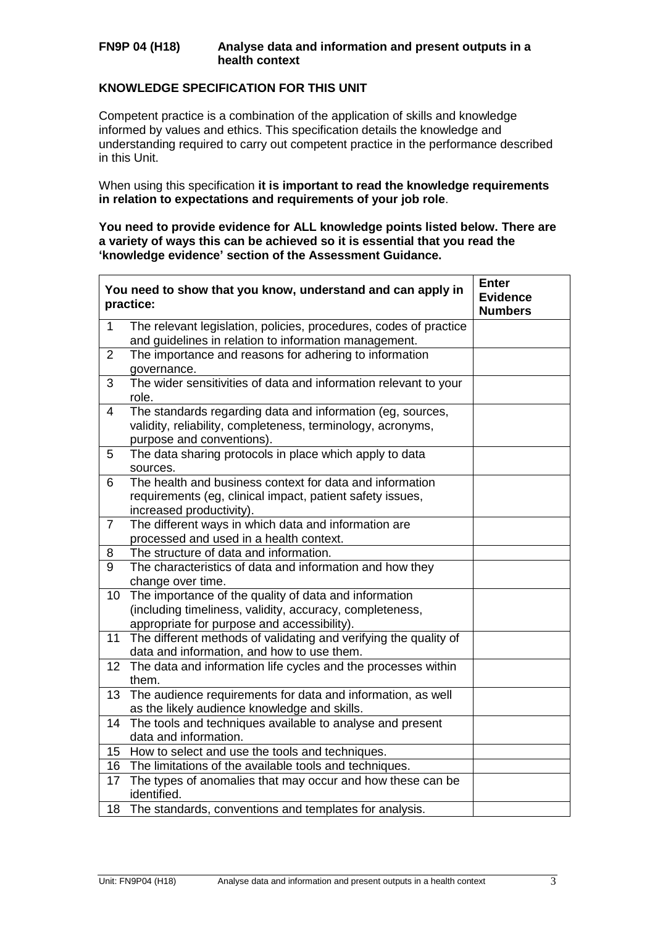### **FN9P 04 (H18) Analyse data and information and present outputs in a health context**

## **KNOWLEDGE SPECIFICATION FOR THIS UNIT**

Competent practice is a combination of the application of skills and knowledge informed by values and ethics. This specification details the knowledge and understanding required to carry out competent practice in the performance described in this Unit.

When using this specification **it is important to read the knowledge requirements in relation to expectations and requirements of your job role**.

#### **You need to provide evidence for ALL knowledge points listed below. There are a variety of ways this can be achieved so it is essential that you read the 'knowledge evidence' section of the Assessment Guidance.**

|                 | You need to show that you know, understand and can apply in<br>practice:                                                                                         | <b>Enter</b><br><b>Evidence</b><br><b>Numbers</b> |
|-----------------|------------------------------------------------------------------------------------------------------------------------------------------------------------------|---------------------------------------------------|
| $\mathbf{1}$    | The relevant legislation, policies, procedures, codes of practice<br>and guidelines in relation to information management.                                       |                                                   |
| $\overline{2}$  | The importance and reasons for adhering to information<br>governance.                                                                                            |                                                   |
| 3               | The wider sensitivities of data and information relevant to your<br>role.                                                                                        |                                                   |
| 4               | The standards regarding data and information (eg, sources,<br>validity, reliability, completeness, terminology, acronyms,<br>purpose and conventions).           |                                                   |
| 5               | The data sharing protocols in place which apply to data<br>sources.                                                                                              |                                                   |
| 6               | The health and business context for data and information<br>requirements (eg, clinical impact, patient safety issues,<br>increased productivity).                |                                                   |
| $\overline{7}$  | The different ways in which data and information are<br>processed and used in a health context.                                                                  |                                                   |
| 8               | The structure of data and information.                                                                                                                           |                                                   |
| $\overline{9}$  | The characteristics of data and information and how they<br>change over time.                                                                                    |                                                   |
| 10 <sup>°</sup> | The importance of the quality of data and information<br>(including timeliness, validity, accuracy, completeness,<br>appropriate for purpose and accessibility). |                                                   |
| 11              | The different methods of validating and verifying the quality of<br>data and information, and how to use them.                                                   |                                                   |
|                 | 12 The data and information life cycles and the processes within<br>them.                                                                                        |                                                   |
| 13              | The audience requirements for data and information, as well<br>as the likely audience knowledge and skills.                                                      |                                                   |
| 14              | The tools and techniques available to analyse and present<br>data and information.                                                                               |                                                   |
|                 | 15 How to select and use the tools and techniques.                                                                                                               |                                                   |
| 16              | The limitations of the available tools and techniques.                                                                                                           |                                                   |
| 17              | The types of anomalies that may occur and how these can be<br>identified.                                                                                        |                                                   |
| 18              | The standards, conventions and templates for analysis.                                                                                                           |                                                   |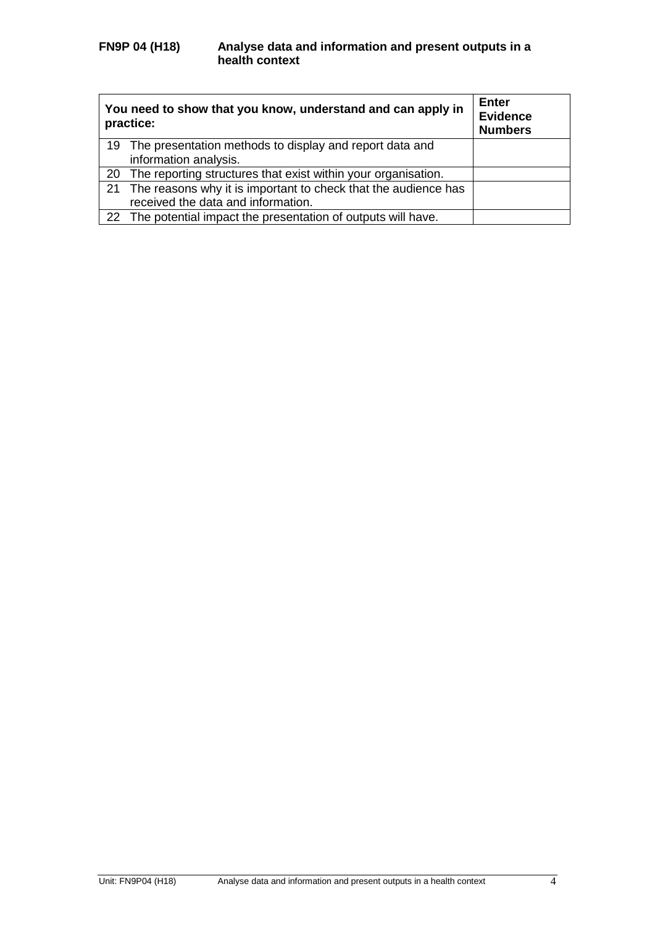| You need to show that you know, understand and can apply in<br>practice: | <b>Enter</b><br><b>Evidence</b><br><b>Numbers</b> |
|--------------------------------------------------------------------------|---------------------------------------------------|
| 19 The presentation methods to display and report data and               |                                                   |
| information analysis.                                                    |                                                   |
| 20 The reporting structures that exist within your organisation.         |                                                   |
| 21 The reasons why it is important to check that the audience has        |                                                   |
| received the data and information.                                       |                                                   |
| 22 The potential impact the presentation of outputs will have.           |                                                   |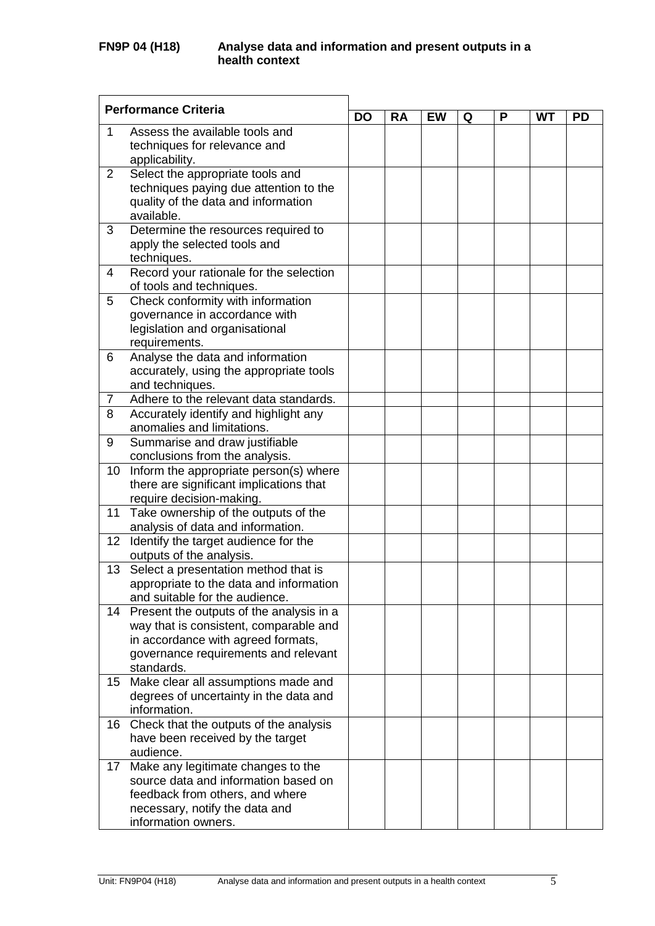|                 | <b>Performance Criteria</b>                                                | <b>DO</b> |           |           |   |   |           |           |
|-----------------|----------------------------------------------------------------------------|-----------|-----------|-----------|---|---|-----------|-----------|
|                 |                                                                            |           | <b>RA</b> | <b>EW</b> | Q | P | <b>WT</b> | <b>PD</b> |
| 1               | Assess the available tools and                                             |           |           |           |   |   |           |           |
|                 | techniques for relevance and                                               |           |           |           |   |   |           |           |
|                 | applicability.                                                             |           |           |           |   |   |           |           |
| $\overline{2}$  | Select the appropriate tools and                                           |           |           |           |   |   |           |           |
|                 | techniques paying due attention to the                                     |           |           |           |   |   |           |           |
|                 | quality of the data and information<br>available.                          |           |           |           |   |   |           |           |
| 3               | Determine the resources required to                                        |           |           |           |   |   |           |           |
|                 | apply the selected tools and                                               |           |           |           |   |   |           |           |
|                 | techniques.                                                                |           |           |           |   |   |           |           |
| 4               | Record your rationale for the selection                                    |           |           |           |   |   |           |           |
|                 | of tools and techniques.                                                   |           |           |           |   |   |           |           |
| 5               | Check conformity with information                                          |           |           |           |   |   |           |           |
|                 | governance in accordance with                                              |           |           |           |   |   |           |           |
|                 | legislation and organisational                                             |           |           |           |   |   |           |           |
|                 | requirements.                                                              |           |           |           |   |   |           |           |
| 6               | Analyse the data and information                                           |           |           |           |   |   |           |           |
|                 | accurately, using the appropriate tools                                    |           |           |           |   |   |           |           |
|                 | and techniques.                                                            |           |           |           |   |   |           |           |
| 7               | Adhere to the relevant data standards.                                     |           |           |           |   |   |           |           |
| 8               | Accurately identify and highlight any                                      |           |           |           |   |   |           |           |
|                 | anomalies and limitations.                                                 |           |           |           |   |   |           |           |
| 9               | Summarise and draw justifiable<br>conclusions from the analysis.           |           |           |           |   |   |           |           |
| 10              | Inform the appropriate person(s) where                                     |           |           |           |   |   |           |           |
|                 | there are significant implications that                                    |           |           |           |   |   |           |           |
|                 | require decision-making.                                                   |           |           |           |   |   |           |           |
| 11              | Take ownership of the outputs of the                                       |           |           |           |   |   |           |           |
|                 | analysis of data and information.                                          |           |           |           |   |   |           |           |
| 12 <sup>2</sup> | Identify the target audience for the                                       |           |           |           |   |   |           |           |
|                 | outputs of the analysis.                                                   |           |           |           |   |   |           |           |
| 13              | Select a presentation method that is                                       |           |           |           |   |   |           |           |
|                 | appropriate to the data and information                                    |           |           |           |   |   |           |           |
|                 | and suitable for the audience.                                             |           |           |           |   |   |           |           |
| 14              | Present the outputs of the analysis in a                                   |           |           |           |   |   |           |           |
|                 | way that is consistent, comparable and                                     |           |           |           |   |   |           |           |
|                 | in accordance with agreed formats,<br>governance requirements and relevant |           |           |           |   |   |           |           |
|                 | standards.                                                                 |           |           |           |   |   |           |           |
| 15 <sub>2</sub> | Make clear all assumptions made and                                        |           |           |           |   |   |           |           |
|                 | degrees of uncertainty in the data and                                     |           |           |           |   |   |           |           |
|                 | information.                                                               |           |           |           |   |   |           |           |
| 16              | Check that the outputs of the analysis                                     |           |           |           |   |   |           |           |
|                 | have been received by the target                                           |           |           |           |   |   |           |           |
|                 | audience.                                                                  |           |           |           |   |   |           |           |
| 17              | Make any legitimate changes to the                                         |           |           |           |   |   |           |           |
|                 | source data and information based on                                       |           |           |           |   |   |           |           |
|                 | feedback from others, and where                                            |           |           |           |   |   |           |           |
|                 | necessary, notify the data and                                             |           |           |           |   |   |           |           |
|                 | information owners.                                                        |           |           |           |   |   |           |           |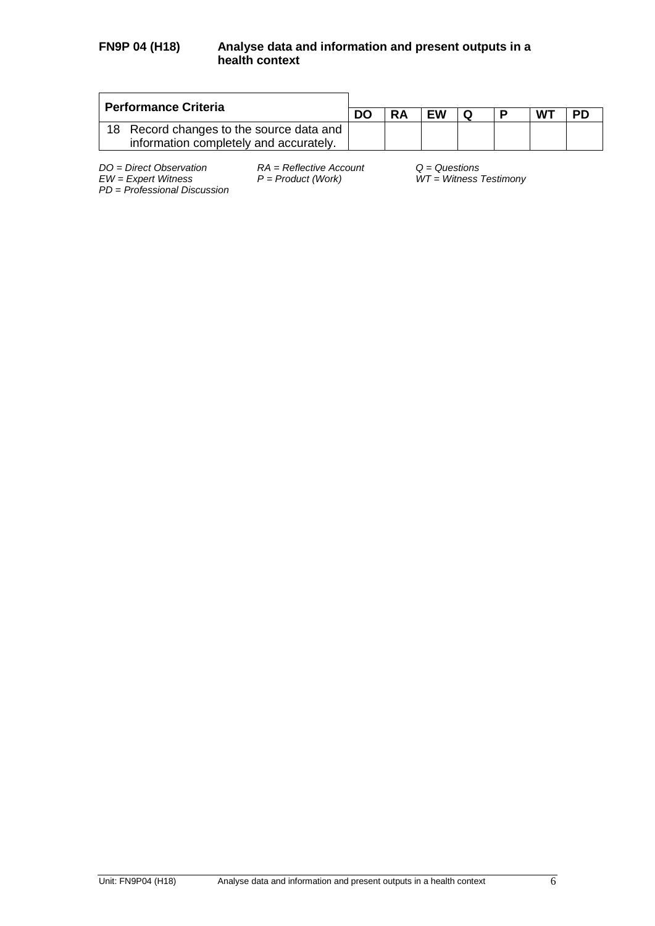### **FN9P 04 (H18) Analyse data and information and present outputs in a health context**

| <b>Performance Criteria</b>                                                        | <b>RA</b><br>EW<br>W٦<br>D |  |  |  |    |
|------------------------------------------------------------------------------------|----------------------------|--|--|--|----|
|                                                                                    |                            |  |  |  | PD |
| 18 Record changes to the source data and<br>information completely and accurately. |                            |  |  |  |    |

*DO = Direct Observation RA = Reflective Account Q = Questions PD* = *Professional Discussion*

*EW = Expert Witness P = Product (Work) WT = Witness Testimony*